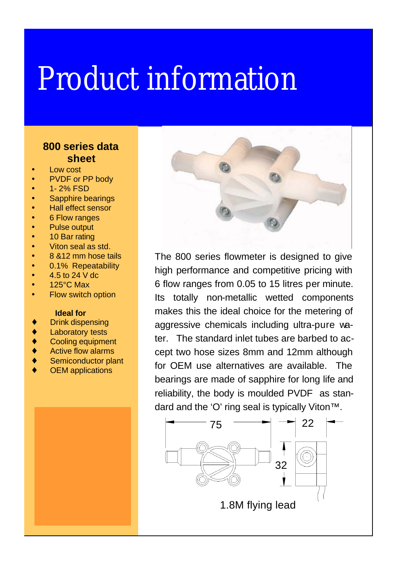## Product information

## **800 series data sheet**

- Low cost
- PVDF or PP body
- 1- 2% FSD
- Sapphire bearings
- Hall effect sensor
- 6 Flow ranges
- Pulse output
- 10 Bar rating
- Viton seal as std.
- 8 &12 mm hose tails
- 0.1% Repeatability
- $\bullet$  4.5 to 24 V dc
- $\bullet$  125°C Max
- Flow switch option

## **Ideal for**

- Drink dispensing
- **Laboratory tests**
- Cooling equipment
- Active flow alarms
- Semiconductor plant
- **OEM** applications



The 800 series flowmeter is designed to give high performance and competitive pricing with 6 flow ranges from 0.05 to 15 litres per minute. Its totally non-metallic wetted components makes this the ideal choice for the metering of aggressive chemicals including ultra-pure water. The standard inlet tubes are barbed to accept two hose sizes 8mm and 12mm although for OEM use alternatives are available. The bearings are made of sapphire for long life and reliability, the body is moulded PVDF as standard and the 'O' ring seal is typically Viton™.